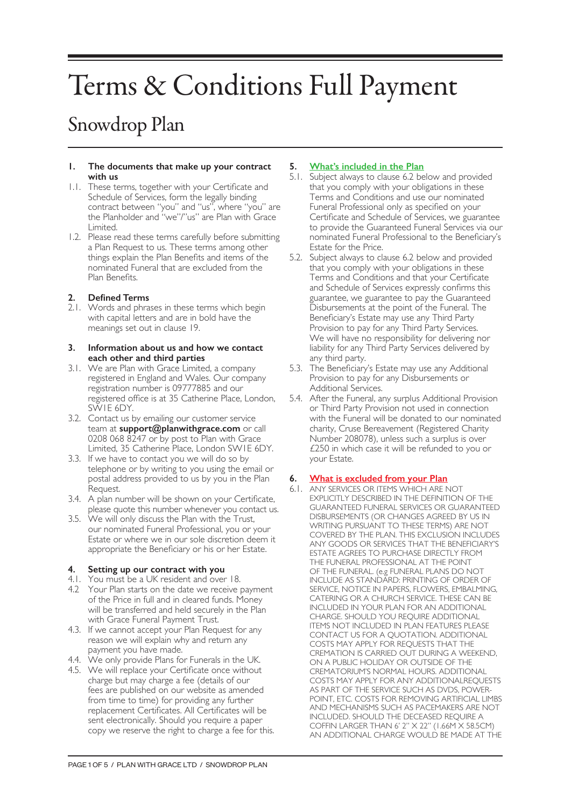# Terms & Conditions Full Payment

# Snowdrop Plan

#### **1. The documents that make up your contract with us**

- 1.1. These terms, together with your Certificate and Schedule of Services, form the legally binding contract between "you" and "us", where "you" are the Planholder and "we"/"us" are Plan with Grace Limited.
- 1.2. Please read these terms carefully before submitting a Plan Request to us. These terms among other things explain the Plan Benefits and items of the nominated Funeral that are excluded from the Plan Benefits.

# **2. Defined Terms**

2.1. Words and phrases in these terms which begin with capital letters and are in bold have the meanings set out in clause 19.

#### **3. Information about us and how we contact each other and third parties**

- 3.1. We are Plan with Grace Limited, a company registered in England and Wales. Our company registration number is 09777885 and our registered office is at 35 Catherine Place, London, SW1E 6DY.
- 3.2. Contact us by emailing our customer service team at **support@planwithgrace.com** or call 0208 068 8247 or by post to Plan with Grace Limited, 35 Catherine Place, London SW1E 6DY.
- 3.3. If we have to contact you we will do so by telephone or by writing to you using the email or postal address provided to us by you in the Plan Request.
- 3.4. A plan number will be shown on your Certificate, please quote this number whenever you contact us.
- 3.5. We will only discuss the Plan with the Trust, our nominated Funeral Professional, you or your Estate or where we in our sole discretion deem it appropriate the Beneficiary or his or her Estate.

# **4. Setting up our contract with you**

- 4.1. You must be a UK resident and over 18.
- 4.2 Your Plan starts on the date we receive payment of the Price in full and in cleared funds. Money will be transferred and held securely in the Plan with Grace Funeral Payment Trust.
- 4.3. If we cannot accept your Plan Request for any reason we will explain why and return any payment you have made.
- 4.4. We only provide Plans for Funerals in the UK.
- 4.5. We will replace your Certificate once without charge but may charge a fee (details of our fees are published on our website as amended from time to time) for providing any further replacement Certificates. All Certificates will be sent electronically. Should you require a paper copy we reserve the right to charge a fee for this.

# **5. What's included in the Plan**

- 5.1. Subject always to clause 6.2 below and provided that you comply with your obligations in these Terms and Conditions and use our nominated Funeral Professional only as specified on your Certificate and Schedule of Services, we guarantee to provide the Guaranteed Funeral Services via our nominated Funeral Professional to the Beneficiary's Estate for the Price.
- 5.2. Subject always to clause 6.2 below and provided that you comply with your obligations in these Terms and Conditions and that your Certificate and Schedule of Services expressly confirms this guarantee, we guarantee to pay the Guaranteed Disbursements at the point of the Funeral. The Beneficiary's Estate may use any Third Party Provision to pay for any Third Party Services. We will have no responsibility for delivering nor liability for any Third Party Services delivered by any third party.
- 5.3. The Beneficiary's Estate may use any Additional Provision to pay for any Disbursements or Additional Services.
- 5.4. After the Funeral, any surplus Additional Provision or Third Party Provision not used in connection with the Funeral will be donated to our nominated charity, Cruse Bereavement (Registered Charity Number 208078), unless such a surplus is over £250 in which case it will be refunded to you or your Estate.

# **6. What is excluded from your Plan**

6.1. ANY SERVICES OR ITEMS WHICH ARE NOT EXPLICITLY DESCRIBED IN THE DEFINITION OF THE GUARANTEED FUNERAL SERVICES OR GUARANTEED DISBURSEMENTS (OR CHANGES AGREED BY US IN WRITING PURSUANT TO THESE TERMS) ARE NOT COVERED BY THE PLAN. THIS EXCLUSION INCLUDES ANY GOODS OR SERVICES THAT THE BENEFICIARY'S ESTATE AGREES TO PURCHASE DIRECTLY FROM THE FUNERAL PROFESSIONAL AT THE POINT OF THE FUNERAL. (e.g FUNERAL PLANS DO NOT INCLUDE AS STANDARD: PRINTING OF ORDER OF SERVICE, NOTICE IN PAPERS, FLOWERS, EMBALMING, CATERING OR A CHURCH SERVICE. THESE CAN BE INCLUDED IN YOUR PLAN FOR AN ADDITIONAL CHARGE. SHOULD YOU REQUIRE ADDITIONAL ITEMS NOT INCLUDED IN PLAN FEATURES PLEASE CONTACT US FOR A QUOTATION. ADDITIONAL COSTS MAY APPLY FOR REQUESTS THAT THE CREMATION IS CARRIED OUT DURING A WEEKEND, ON A PUBLIC HOLIDAY OR OUTSIDE OF THE CREMATORIUM'S NORMAL HOURS. ADDITIONAL COSTS MAY APPLY FOR ANY ADDITIONALREQUESTS AS PART OF THE SERVICE SUCH AS DVDS, POWER-POINT, ETC. COSTS FOR REMOVING ARTIFICIAL LIMBS AND MECHANISMS SUCH AS PACEMAKERS ARE NOT INCLUDED. SHOULD THE DECEASED REQUIRE A COFFIN LARGER THAN 6' 2" X 22" (1.66M X 58.5CM) AN ADDITIONAL CHARGE WOULD BE MADE AT THE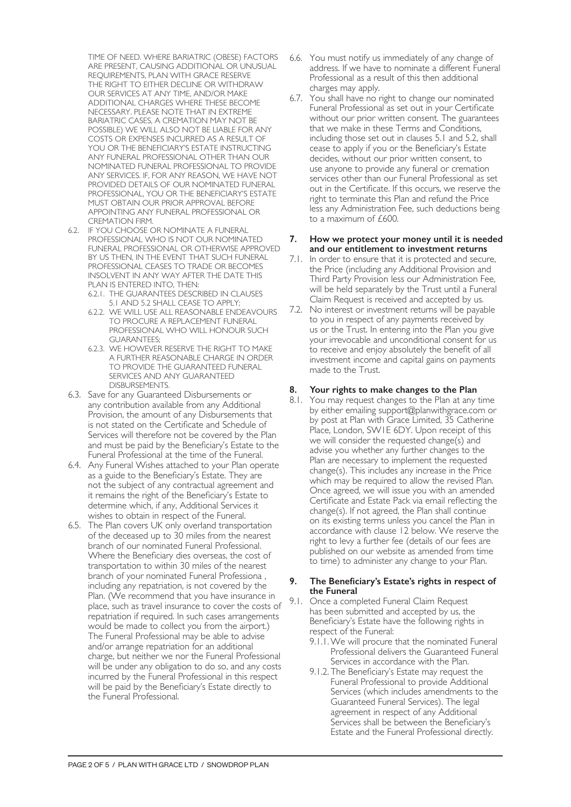TIME OF NEED. WHERE BARIATRIC (OBESE) FACTORS ARE PRESENT, CAUSING ADDITIONAL OR UNUSUAL REQUIREMENTS, PLAN WITH GRACE RESERVE THE RIGHT TO EITHER DECLINE OR WITHDRAW OUR SERVICES AT ANY TIME, AND/OR MAKE ADDITIONAL CHARGES WHERE THESE BECOME NECESSARY. PLEASE NOTE THAT IN EXTREME BARIATRIC CASES, A CREMATION MAY NOT BE POSSIBLE) WE WILL ALSO NOT BE LIABLE FOR ANY COSTS OR EXPENSES INCURRED AS A RESULT OF YOU OR THE BENEFICIARY'S ESTATE INSTRUCTING ANY FUNERAL PROFESSIONAL OTHER THAN OUR NOMINATED FUNERAL PROFESSIONAL TO PROVIDE ANY SERVICES. IF, FOR ANY REASON, WE HAVE NOT PROVIDED DETAILS OF OUR NOMINATED FUNERAL PROFESSIONAL, YOU OR THE BENEFICIARY'S ESTATE MUST OBTAIN OUR PRIOR APPROVAL BEFORE APPOINTING ANY FUNERAL PROFESSIONAL OR CREMATION FIRM.

- 6.2. IF YOU CHOOSE OR NOMINATE A FUNERAL PROFESSIONAL WHO IS NOT OUR NOMINATED FUNERAL PROFESSIONAL OR OTHERWISE APPROVED BY US THEN, IN THE EVENT THAT SUCH FUNERAL PROFESSIONAL CEASES TO TRADE OR BECOMES INSOLVENT IN ANY WAY AFTER THE DATE THIS PLAN IS ENTERED INTO, THEN:
	- 6.2.1. THE GUARANTEES DESCRIBED IN CLAUSES 5.1 AND 5.2 SHALL CEASE TO APPLY;
	- 6.2.2. WE WILL USE ALL REASONABLE ENDEAVOURS TO PROCURE A REPLACEMENT FUNERAL PROFESSIONAL WHO WILL HONOUR SUCH GUARANTEES;
	- 6.2.3. WE HOWEVER RESERVE THE RIGHT TO MAKE A FURTHER REASONABLE CHARGE IN ORDER TO PROVIDE THE GUARANTEED FUNERAL SERVICES AND ANY GUARANTEED DISBURSEMENTS.
- 6.3. Save for any Guaranteed Disbursements or any contribution available from any Additional Provision, the amount of any Disbursements that is not stated on the Certificate and Schedule of Services will therefore not be covered by the Plan and must be paid by the Beneficiary's Estate to the Funeral Professional at the time of the Funeral.
- 6.4. Any Funeral Wishes attached to your Plan operate as a guide to the Beneficiary's Estate. They are not the subject of any contractual agreement and it remains the right of the Beneficiary's Estate to determine which, if any, Additional Services it wishes to obtain in respect of the Funeral.
- 6.5. The Plan covers UK only overland transportation of the deceased up to 30 miles from the nearest branch of our nominated Funeral Professional. Where the Beneficiary dies overseas, the cost of transportation to within 30 miles of the nearest branch of your nominated Funeral Professiona , including any repatriation, is not covered by the Plan. (We recommend that you have insurance in place, such as travel insurance to cover the costs of repatriation if required. In such cases arrangements would be made to collect you from the airport.) The Funeral Professional may be able to advise and/or arrange repatriation for an additional charge, but neither we nor the Funeral Professional will be under any obligation to do so, and any costs incurred by the Funeral Professional in this respect will be paid by the Beneficiary's Estate directly to the Funeral Professional.
- 6.6. You must notify us immediately of any change of address. If we have to nominate a different Funeral Professional as a result of this then additional charges may apply.
- 6.7. You shall have no right to change our nominated Funeral Professional as set out in your Certificate without our prior written consent. The guarantees that we make in these Terms and Conditions, including those set out in clauses 5.1 and 5.2, shall cease to apply if you or the Beneficiary's Estate decides, without our prior written consent, to use anyone to provide any funeral or cremation services other than our Funeral Professional as set out in the Certificate. If this occurs, we reserve the right to terminate this Plan and refund the Price less any Administration Fee, such deductions being to a maximum of £600.

#### **7. How we protect your money until it is needed and our entitlement to investment returns**

- 7.1. In order to ensure that it is protected and secure, the Price (including any Additional Provision and Third Party Provision less our Administration Fee, will be held separately by the Trust until a Funeral Claim Request is received and accepted by us.
- 7.2. No interest or investment returns will be payable to you in respect of any payments received by us or the Trust. In entering into the Plan you give your irrevocable and unconditional consent for us to receive and enjoy absolutely the benefit of all investment income and capital gains on payments made to the Trust.

# **8. Your rights to make changes to the Plan**

8.1. You may request changes to the Plan at any time by either emailing support@planwithgrace.com or by post at Plan with Grace Limited, 35 Catherine Place, London, SW1E 6DY. Upon receipt of this we will consider the requested change(s) and advise you whether any further changes to the Plan are necessary to implement the requested change(s). This includes any increase in the Price which may be required to allow the revised Plan. Once agreed, we will issue you with an amended Certificate and Estate Pack via email reflecting the change(s). If not agreed, the Plan shall continue on its existing terms unless you cancel the Plan in accordance with clause 12 below. We reserve the right to levy a further fee (details of our fees are published on our website as amended from time to time) to administer any change to your Plan.

#### **9. The Beneficiary's Estate's rights in respect of the Funeral**

- 9.1. Once a completed Funeral Claim Request has been submitted and accepted by us, the Beneficiary's Estate have the following rights in respect of the Funeral:
	- 9.1.1.We will procure that the nominated Funeral Professional delivers the Guaranteed Funeral Services in accordance with the Plan.
	- 9.1.2. The Beneficiary's Estate may request the Funeral Professional to provide Additional Services (which includes amendments to the Guaranteed Funeral Services). The legal agreement in respect of any Additional Services shall be between the Beneficiary's Estate and the Funeral Professional directly.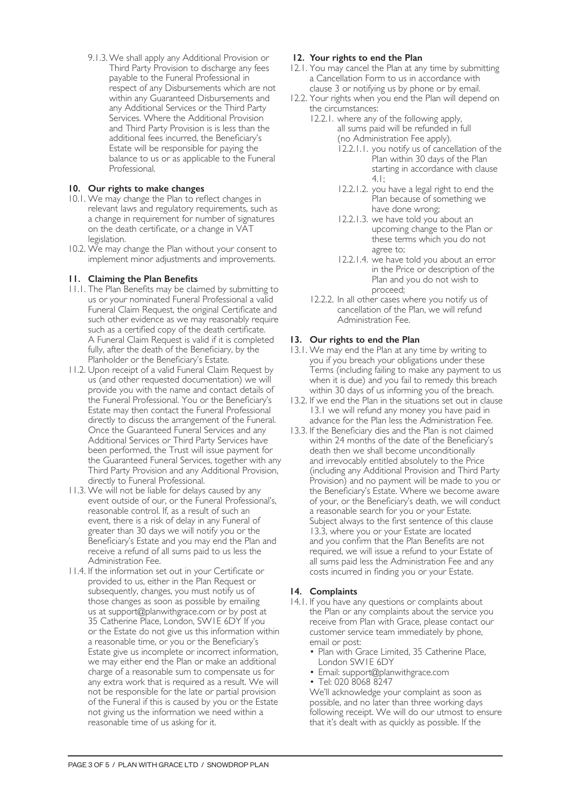9.1.3.We shall apply any Additional Provision or Third Party Provision to discharge any fees payable to the Funeral Professional in respect of any Disbursements which are not within any Guaranteed Disbursements and any Additional Services or the Third Party Services. Where the Additional Provision and Third Party Provision is is less than the additional fees incurred, the Beneficiary's Estate will be responsible for paying the balance to us or as applicable to the Funeral Professional.

# **10. Our rights to make changes**

- 10.1. We may change the Plan to reflect changes in relevant laws and regulatory requirements, such as a change in requirement for number of signatures on the death certificate, or a change in VAT legislation.
- 10.2. We may change the Plan without your consent to implement minor adjustments and improvements.

# **11. Claiming the Plan Benefits**

- 11.1. The Plan Benefits may be claimed by submitting to us or your nominated Funeral Professional a valid Funeral Claim Request, the original Certificate and such other evidence as we may reasonably require such as a certified copy of the death certificate. A Funeral Claim Request is valid if it is completed fully, after the death of the Beneficiary, by the Planholder or the Beneficiary's Estate.
- 11.2. Upon receipt of a valid Funeral Claim Request by us (and other requested documentation) we will provide you with the name and contact details of the Funeral Professional. You or the Beneficiary's Estate may then contact the Funeral Professional directly to discuss the arrangement of the Funeral. Once the Guaranteed Funeral Services and any Additional Services or Third Party Services have been performed, the Trust will issue payment for the Guaranteed Funeral Services, together with any Third Party Provision and any Additional Provision, directly to Funeral Professional.
- 11.3. We will not be liable for delays caused by any event outside of our, or the Funeral Professional's, reasonable control. If, as a result of such an event, there is a risk of delay in any Funeral of greater than 30 days we will notify you or the Beneficiary's Estate and you may end the Plan and receive a refund of all sums paid to us less the Administration Fee.
- 11.4. If the information set out in your Certificate or provided to us, either in the Plan Request or subsequently, changes, you must notify us of those changes as soon as possible by emailing us at support@planwithgrace.com or by post at 35 Catherine Place, London, SW1E 6DY If you or the Estate do not give us this information within a reasonable time, or you or the Beneficiary's Estate give us incomplete or incorrect information, we may either end the Plan or make an additional charge of a reasonable sum to compensate us for any extra work that is required as a result. We will not be responsible for the late or partial provision of the Funeral if this is caused by you or the Estate not giving us the information we need within a reasonable time of us asking for it.

# **12. Your rights to end the Plan**

- 12.1. You may cancel the Plan at any time by submitting a Cancellation Form to us in accordance with clause 3 or notifying us by phone or by email.
- 12.2. Your rights when you end the Plan will depend on the circumstances:
	- 12.2.1. where any of the following apply, all sums paid will be refunded in full (no Administration Fee apply).
		- 12.2.1.1. you notify us of cancellation of the Plan within 30 days of the Plan starting in accordance with clause 4.1;
		- 12.2.1.2. you have a legal right to end the Plan because of something we have done wrong;
		- 12.2.1.3. we have told you about an upcoming change to the Plan or these terms which you do not agree to;
		- 12.2.1.4. we have told you about an error in the Price or description of the Plan and you do not wish to proceed;
	- 12.2.2. In all other cases where you notify us of cancellation of the Plan, we will refund Administration Fee.

# **13. Our rights to end the Plan**

- 13.1. We may end the Plan at any time by writing to you if you breach your obligations under these Terms (including failing to make any payment to us when it is due) and you fail to remedy this breach within 30 days of us informing you of the breach.
- 13.2. If we end the Plan in the situations set out in clause 13.1 we will refund any money you have paid in advance for the Plan less the Administration Fee.
- 13.3. If the Beneficiary dies and the Plan is not claimed within 24 months of the date of the Beneficiary's death then we shall become unconditionally and irrevocably entitled absolutely to the Price (including any Additional Provision and Third Party Provision) and no payment will be made to you or the Beneficiary's Estate. Where we become aware of your, or the Beneficiary's death, we will conduct a reasonable search for you or your Estate. Subject always to the first sentence of this clause 13.3, where you or your Estate are located and you confirm that the Plan Benefits are not required, we will issue a refund to your Estate of all sums paid less the Administration Fee and any costs incurred in finding you or your Estate.

#### **14. Complaints**

- 14.1. If you have any questions or complaints about the Plan or any complaints about the service you receive from Plan with Grace, please contact our customer service team immediately by phone, email or post:
	- Plan with Grace Limited, 35 Catherine Place, London SW1E 6DY
	- Email: support@planwithgrace.com
	- Tel: 020 8068 8247

We'll acknowledge your complaint as soon as possible, and no later than three working days following receipt. We will do our utmost to ensure that it's dealt with as quickly as possible. If the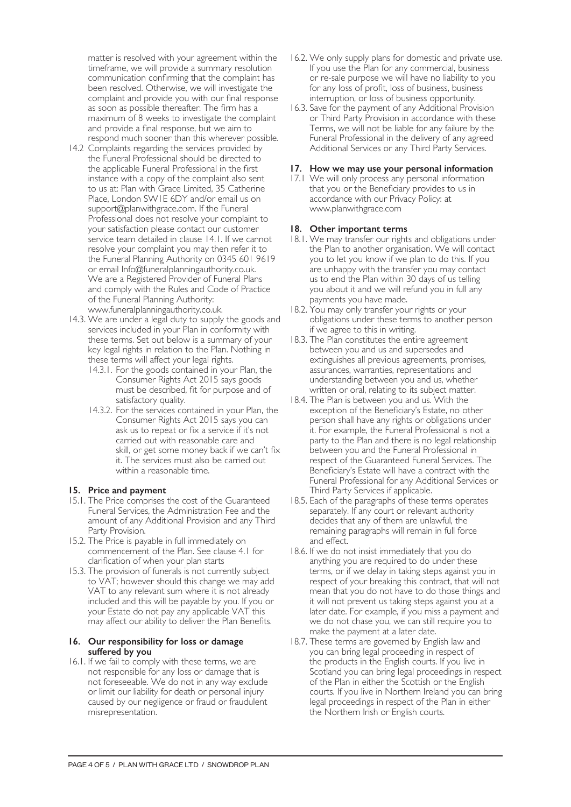matter is resolved with your agreement within the timeframe, we will provide a summary resolution communication confirming that the complaint has been resolved. Otherwise, we will investigate the complaint and provide you with our final response as soon as possible thereafter. The firm has a maximum of 8 weeks to investigate the complaint and provide a final response, but we aim to respond much sooner than this wherever possible.

- 14.2 Complaints regarding the services provided by the Funeral Professional should be directed to the applicable Funeral Professional in the first instance with a copy of the complaint also sent to us at: Plan with Grace Limited, 35 Catherine Place, London SW1E 6DY and/or email us on support@planwithgrace.com. If the Funeral Professional does not resolve your complaint to your satisfaction please contact our customer service team detailed in clause 14.1. If we cannot resolve your complaint you may then refer it to the Funeral Planning Authority on 0345 601 9619 or email Info@funeralplanningauthority.co.uk. We are a Registered Provider of Funeral Plans and comply with the Rules and Code of Practice of the Funeral Planning Authority: www.funeralplanningauthority.co.uk.
- 14.3. We are under a legal duty to supply the goods and services included in your Plan in conformity with these terms. Set out below is a summary of your key legal rights in relation to the Plan. Nothing in these terms will affect your legal rights.
	- 14.3.1. For the goods contained in your Plan, the Consumer Rights Act 2015 says goods must be described, fit for purpose and of satisfactory quality.
	- 14.3.2. For the services contained in your Plan, the Consumer Rights Act 2015 says you can ask us to repeat or fix a service if it's not carried out with reasonable care and skill, or get some money back if we can't fix it. The services must also be carried out within a reasonable time.

# **15. Price and payment**

- 15.1. The Price comprises the cost of the Guaranteed Funeral Services, the Administration Fee and the amount of any Additional Provision and any Third Party Provision.
- 15.2. The Price is payable in full immediately on commencement of the Plan. See clause 4.1 for clarification of when your plan starts
- 15.3. The provision of funerals is not currently subject to VAT; however should this change we may add VAT to any relevant sum where it is not already included and this will be payable by you. If you or your Estate do not pay any applicable VAT this may affect our ability to deliver the Plan Benefits.

#### **16. Our responsibility for loss or damage suffered by you**

16.1. If we fail to comply with these terms, we are not responsible for any loss or damage that is not foreseeable. We do not in any way exclude or limit our liability for death or personal injury caused by our negligence or fraud or fraudulent misrepresentation.

- 16.2. We only supply plans for domestic and private use. If you use the Plan for any commercial, business or re-sale purpose we will have no liability to you for any loss of profit, loss of business, business interruption, or loss of business opportunity.
- 16.3. Save for the payment of any Additional Provision or Third Party Provision in accordance with these Terms, we will not be liable for any failure by the Funeral Professional in the delivery of any agreed Additional Services or any Third Party Services.

#### **17. How we may use your personal information**

17.1 We will only process any personal information that you or the Beneficiary provides to us in accordance with our Privacy Policy: at www.planwithgrace.com

# **18. Other important terms**

- 18.1. We may transfer our rights and obligations under the Plan to another organisation. We will contact you to let you know if we plan to do this. If you are unhappy with the transfer you may contact us to end the Plan within 30 days of us telling you about it and we will refund you in full any payments you have made.
- 18.2. You may only transfer your rights or your obligations under these terms to another person if we agree to this in writing.
- 18.3. The Plan constitutes the entire agreement between you and us and supersedes and extinguishes all previous agreements, promises, assurances, warranties, representations and understanding between you and us, whether written or oral, relating to its subject matter.
- 18.4. The Plan is between you and us. With the exception of the Beneficiary's Estate, no other person shall have any rights or obligations under it. For example, the Funeral Professional is not a party to the Plan and there is no legal relationship between you and the Funeral Professional in respect of the Guaranteed Funeral Services. The Beneficiary's Estate will have a contract with the Funeral Professional for any Additional Services or Third Party Services if applicable.
- 18.5. Each of the paragraphs of these terms operates separately. If any court or relevant authority decides that any of them are unlawful, the remaining paragraphs will remain in full force and effect.
- 18.6. If we do not insist immediately that you do anything you are required to do under these terms, or if we delay in taking steps against you in respect of your breaking this contract, that will not mean that you do not have to do those things and it will not prevent us taking steps against you at a later date. For example, if you miss a payment and we do not chase you, we can still require you to make the payment at a later date.
- 18.7. These terms are governed by English law and you can bring legal proceeding in respect of the products in the English courts. If you live in Scotland you can bring legal proceedings in respect of the Plan in either the Scottish or the English courts. If you live in Northern Ireland you can bring legal proceedings in respect of the Plan in either the Northern Irish or English courts.